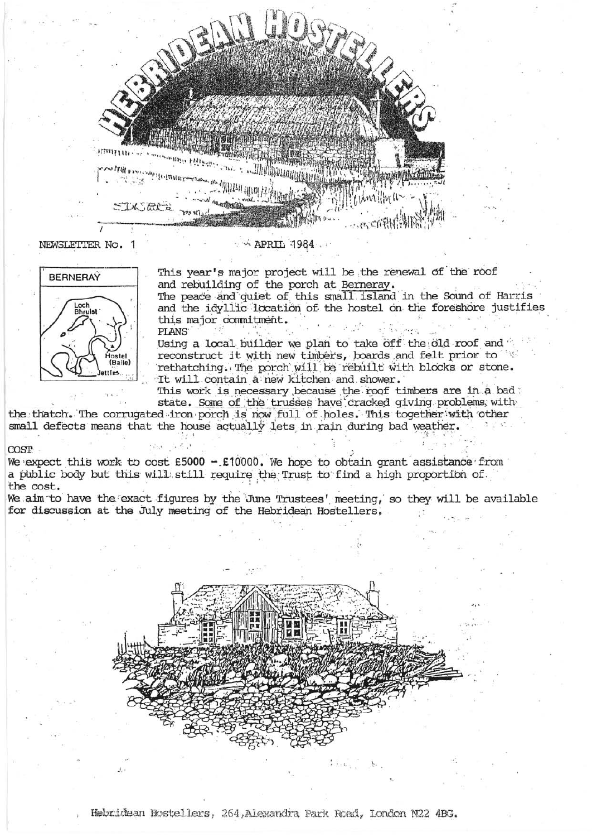

NEWSLETTER No.

# **BERNERAY** Loch<br>Bhruist (Baile) ettles

This year's major project will be the renewal of the roof and rebuilding of the porch at Berneray.

The peace and quiet of this small island in the Sound of Harris and the idyllic location of the hostel on the foreshore justifies this major commitment. PLANS<sup>®</sup>

Using a local builder we plan to take off the old roof and reconstruct it with new timbers, boards and felt prior to rethatching. The porch will be rebuilt with blocks or stone. It will contain a new kitchen and shower.

This work is necessary because the roof timbers are in a bad: state. Some of the trusses have cracked giving problems with

the thatch. The corrugated iron porch is now full of holes. This together with other small defects means that the house actually lets in rain during bad weather.

## COST

We expect this work to cost £5000 - £10000. We hope to obtain grant assistance from a public body but this will still require the Trust to find a high proportion of the cost.

We aim to have the exact figures by the June Trustees' meeting, so they will be available for discussion at the July meeting of the Hebridean Hostellers.